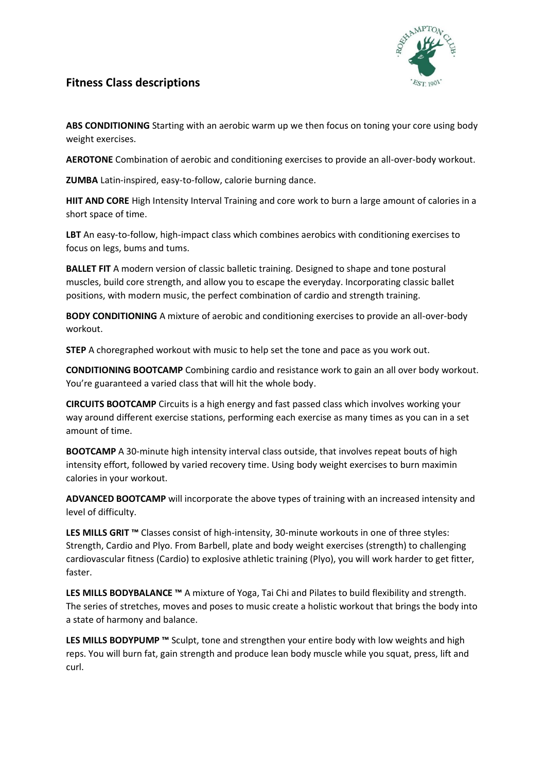

## **Fitness Class descriptions**

**ABS CONDITIONING** Starting with an aerobic warm up we then focus on toning your core using body weight exercises.

**AEROTONE** Combination of aerobic and conditioning exercises to provide an all-over-body workout.

**ZUMBA** Latin-inspired, easy-to-follow, calorie burning dance.

**HIIT AND CORE** High Intensity Interval Training and core work to burn a large amount of calories in a short space of time.

**LBT** An easy-to-follow, high-impact class which combines aerobics with conditioning exercises to focus on legs, bums and tums.

**BALLET FIT** A modern version of classic balletic training. Designed to shape and tone postural muscles, build core strength, and allow you to escape the everyday. Incorporating classic ballet positions, with modern music, the perfect combination of cardio and strength training.

**BODY CONDITIONING** A mixture of aerobic and conditioning exercises to provide an all-over-body workout.

**STEP** A choregraphed workout with music to help set the tone and pace as you work out.

**CONDITIONING BOOTCAMP** Combining cardio and resistance work to gain an all over body workout. You're guaranteed a varied class that will hit the whole body.

**CIRCUITS BOOTCAMP** Circuits is a high energy and fast passed class which involves working your way around different exercise stations, performing each exercise as many times as you can in a set amount of time.

**BOOTCAMP** A 30-minute high intensity interval class outside, that involves repeat bouts of high intensity effort, followed by varied recovery time. Using body weight exercises to burn maximin calories in your workout.

**ADVANCED BOOTCAMP** will incorporate the above types of training with an increased intensity and level of difficulty.

**LES MILLS GRIT ™** Classes consist of high-intensity, 30-minute workouts in one of three styles: Strength, Cardio and Plyo. From Barbell, plate and body weight exercises (strength) to challenging cardiovascular fitness (Cardio) to explosive athletic training (Plyo), you will work harder to get fitter, faster.

**LES MILLS BODYBALANCE ™** A mixture of Yoga, Tai Chi and Pilates to build flexibility and strength. The series of stretches, moves and poses to music create a holistic workout that brings the body into a state of harmony and balance.

**LES MILLS BODYPUMP ™** Sculpt, tone and strengthen your entire body with low weights and high reps. You will burn fat, gain strength and produce lean body muscle while you squat, press, lift and curl.